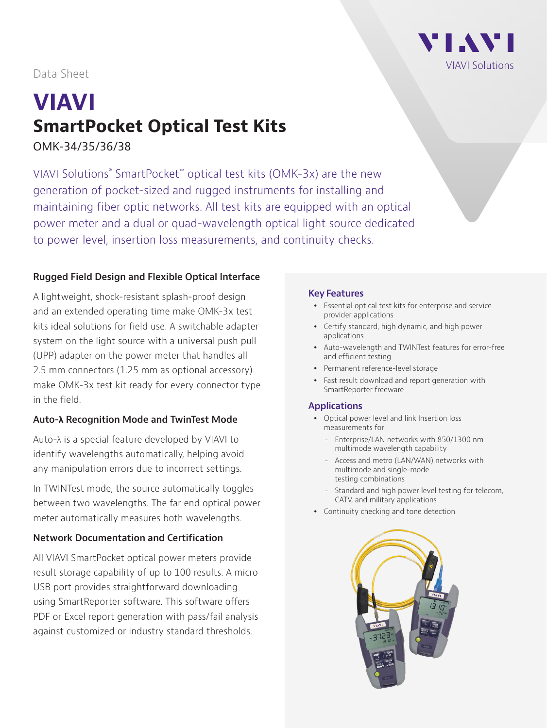

Data Sheet

# **VIAVI SmartPocket Optical Test Kits**

OMK-34/35/36/38

VIAVI Solutions® SmartPocket™ optical test kits (OMK-3x) are the new generation of pocket-sized and rugged instruments for installing and maintaining fiber optic networks. All test kits are equipped with an optical power meter and a dual or quad-wavelength optical light source dedicated to power level, insertion loss measurements, and continuity checks.

## **Rugged Field Design and Flexible Optical Interface**

A lightweight, shock-resistant splash-proof design and an extended operating time make OMK-3x test kits ideal solutions for field use. A switchable adapter system on the light source with a universal push pull (UPP) adapter on the power meter that handles all 2.5 mm connectors (1.25 mm as optional accessory) make OMK-3x test kit ready for every connector type in the field.

## **Auto-λ Recognition Mode and TwinTest Mode**

Auto-λ is a special feature developed by VIAVI to identify wavelengths automatically, helping avoid any manipulation errors due to incorrect settings.

In TWINTest mode, the source automatically toggles between two wavelengths. The far end optical power meter automatically measures both wavelengths.

# **Network Documentation and Certification**

All VIAVI SmartPocket optical power meters provide result storage capability of up to 100 results. A micro USB port provides straightforward downloading using SmartReporter software. This software offers PDF or Excel report generation with pass/fail analysis against customized or industry standard thresholds.

#### **Key Features**

- Essential optical test kits for enterprise and service provider applications
- Certify standard, high dynamic, and high power applications
- Auto-wavelength and TWINTest features for error-free and efficient testing
- Permanent reference-level storage
- Fast result download and report generation with SmartReporter freeware

## **Applications**

- Optical power level and link Insertion loss measurements for:
	- Enterprise/LAN networks with 850/1300 nm multimode wavelength capability
	- Access and metro (LAN/WAN) networks with multimode and single-mode testing combinations
	- Standard and high power level testing for telecom, CATV, and military applications
- Continuity checking and tone detection

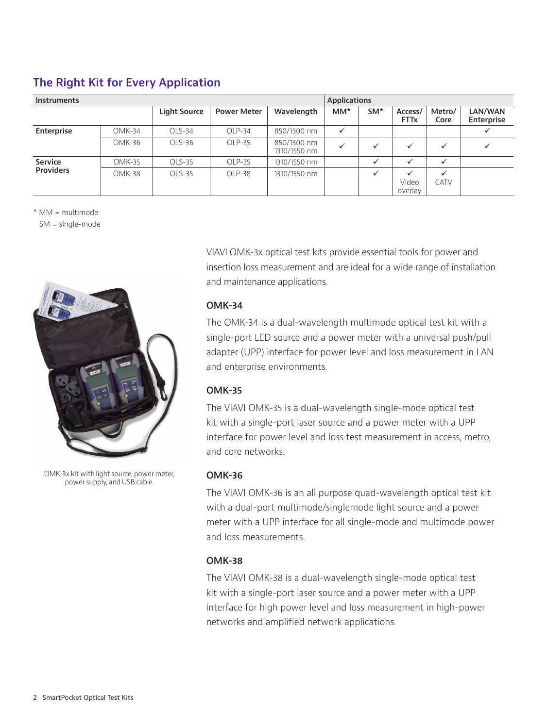# **The Right Kit for Every Application**

| <b>Instruments</b>          |        |              |                    |                             | <b>Applications</b> |                 |                                  |                             |                       |
|-----------------------------|--------|--------------|--------------------|-----------------------------|---------------------|-----------------|----------------------------------|-----------------------------|-----------------------|
|                             |        | Light Source | <b>Power Meter</b> | Wavelength                  | $MM^{\star}$        | SM <sup>*</sup> | Access/<br><b>FTTx</b>           | Metro/<br>Core              | LAN/WAN<br>Enterprise |
| Enterprise                  | OMK-34 | $OLS-34$     | $OLP-34$           | 850/1300 nm                 | $\checkmark$        |                 |                                  |                             |                       |
|                             | OMK-36 | $OLS-36$     | OLP-35             | 850/1300 nm<br>1310/1550 nm |                     | ✓               | $\checkmark$                     | $\checkmark$                | ✓                     |
| Service<br><b>Providers</b> | OMK-35 | $OLS-35$     | OLP-35             | 1310/1550 nm                |                     | $\checkmark$    | $\checkmark$                     | $\checkmark$                |                       |
|                             | OMK-38 | $OLS-35$     | OLP-38             | 1310/1550 nm                |                     | $\checkmark$    | $\checkmark$<br>Video<br>overlay | $\checkmark$<br><b>CATV</b> |                       |

\* MM = multimode

SM = single-mode



OMK-3x kit with light source, power meter, power supply, and USB cable.

VIAVI OMK-3x optical test kits provide essential tools for power and insertion loss measurement and are ideal for a wide range of installation and maintenance applications.

## **OMK-34**

The OMK-34 is a dual-wavelength multimode optical test kit with a single-port LED source and a power meter with a universal push/pull adapter (UPP) interface for power level and loss measurement in LAN and enterprise environments.

# **OMK-35**

The VIAVI OMK-35 is a dual-wavelength single-mode optical test kit with a single-port laser source and a power meter with a UPP interface for power level and loss test measurement in access, metro, and core networks.

## **OMK-36**

The VIAVI OMK-36 is an all purpose quad-wavelength optical test kit with a dual-port multimode/singlemode light source and a power meter with a UPP interface for all single-mode and multimode power and loss measurements.

## **OMK-38**

The VIAVI OMK-38 is a dual-wavelength single-mode optical test kit with a single-port laser source and a power meter with a UPP interface for high power level and loss measurement in high-power networks and amplified network applications.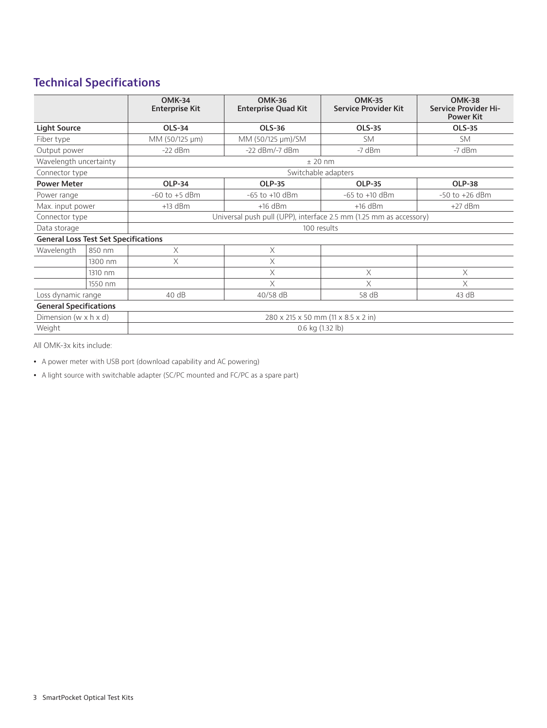# **Technical Specifications**

|                                             |         | <b>OMK-34</b><br><b>Enterprise Kit</b>                             | <b>OMK-36</b><br><b>Enterprise Quad Kit</b> | <b>OMK-35</b><br><b>Service Provider Kit</b> | <b>OMK-38</b><br><b>Service Provider Hi-</b><br><b>Power Kit</b> |  |  |  |
|---------------------------------------------|---------|--------------------------------------------------------------------|---------------------------------------------|----------------------------------------------|------------------------------------------------------------------|--|--|--|
| <b>Light Source</b>                         |         | <b>OLS-34</b>                                                      | OLS-36                                      | <b>OLS-35</b>                                | <b>OLS-35</b>                                                    |  |  |  |
| Fiber type                                  |         | MM (50/125 µm)                                                     | MM (50/125 µm)/SM                           | <b>SM</b>                                    | <b>SM</b>                                                        |  |  |  |
| Output power                                |         | $-22$ dBm                                                          | $-22$ dBm/ $-7$ dBm                         | $-7$ dBm                                     | $-7$ dBm                                                         |  |  |  |
| Wavelength uncertainty                      |         | $±$ 20 nm                                                          |                                             |                                              |                                                                  |  |  |  |
| Connector type                              |         | Switchable adapters                                                |                                             |                                              |                                                                  |  |  |  |
| <b>Power Meter</b>                          |         | <b>OLP-34</b>                                                      | <b>OLP-35</b>                               | <b>OLP-35</b>                                | <b>OLP-38</b>                                                    |  |  |  |
| Power range                                 |         | $-60$ to $+5$ dBm                                                  | $-65$ to $+10$ dBm                          | $-65$ to $+10$ dBm                           | $-50$ to $+26$ dBm                                               |  |  |  |
| Max. input power                            |         | $+13$ dBm                                                          | $+16$ dBm                                   | $+16$ dBm                                    | $+27$ dBm                                                        |  |  |  |
| Connector type                              |         | Universal push pull (UPP), interface 2.5 mm (1.25 mm as accessory) |                                             |                                              |                                                                  |  |  |  |
| Data storage                                |         | 100 results                                                        |                                             |                                              |                                                                  |  |  |  |
| <b>General Loss Test Set Specifications</b> |         |                                                                    |                                             |                                              |                                                                  |  |  |  |
| Wavelength                                  | 850 nm  | X                                                                  | $\times$                                    |                                              |                                                                  |  |  |  |
|                                             | 1300 nm | X                                                                  | X                                           |                                              |                                                                  |  |  |  |
|                                             | 1310 nm |                                                                    | X                                           | X                                            | X                                                                |  |  |  |
|                                             | 1550 nm |                                                                    | $\times$                                    | $\times$                                     | X                                                                |  |  |  |
| Loss dynamic range                          |         | 40dB                                                               | 40/58 dB                                    | 58 dB                                        | 43 dB                                                            |  |  |  |
| <b>General Specifications</b>               |         |                                                                    |                                             |                                              |                                                                  |  |  |  |
| Dimension ( $w \times h \times d$ )         |         | 280 x 215 x 50 mm (11 x 8.5 x 2 in)                                |                                             |                                              |                                                                  |  |  |  |
| Weight                                      |         | 0.6 kg (1.32 lb)                                                   |                                             |                                              |                                                                  |  |  |  |

All OMK-3x kits include:

• A power meter with USB port (download capability and AC powering)

• A light source with switchable adapter (SC/PC mounted and FC/PC as a spare part)